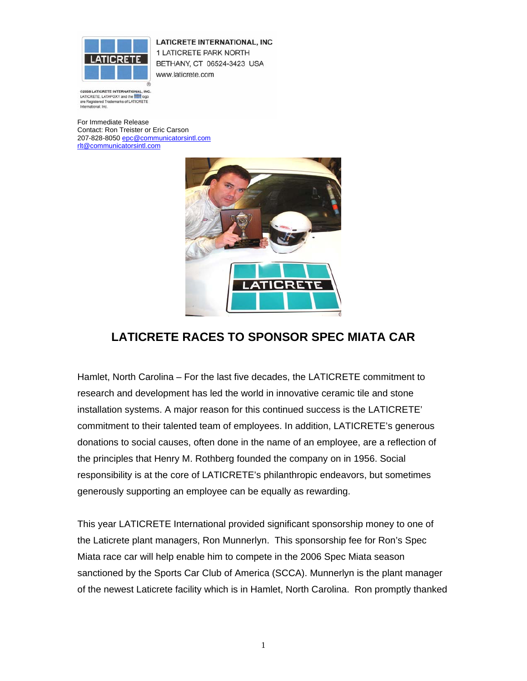

LATICRETE INTERNATIONAL, INC 1 LATICRETE PARK NORTH BETHANY, CT 06524-3423 USA www.laticrete.com

@2005 LATICRETE INTERNATIONAL, INC. LATICRETE, LATAPOXY and the **first logo** are Registered Trademarks of LATICRETE<br>International, Inc.

For Immediate Release Contact: Ron Treister or Eric Carson 207-828-8050 epc@communicatorsintl.com rlt@communicatorsintl.com



## **LATICRETE RACES TO SPONSOR SPEC MIATA CAR**

Hamlet, North Carolina – For the last five decades, the LATICRETE commitment to research and development has led the world in innovative ceramic tile and stone installation systems. A major reason for this continued success is the LATICRETE' commitment to their talented team of employees. In addition, LATICRETE's generous donations to social causes, often done in the name of an employee, are a reflection of the principles that Henry M. Rothberg founded the company on in 1956. Social responsibility is at the core of LATICRETE's philanthropic endeavors, but sometimes generously supporting an employee can be equally as rewarding.

This year LATICRETE International provided significant sponsorship money to one of the Laticrete plant managers, Ron Munnerlyn. This sponsorship fee for Ron's Spec Miata race car will help enable him to compete in the 2006 Spec Miata season sanctioned by the Sports Car Club of America (SCCA). Munnerlyn is the plant manager of the newest Laticrete facility which is in Hamlet, North Carolina. Ron promptly thanked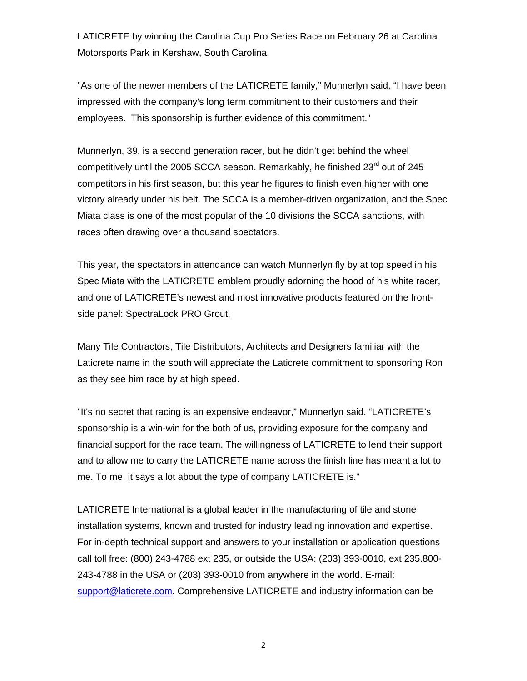LATICRETE by winning the Carolina Cup Pro Series Race on February 26 at Carolina Motorsports Park in Kershaw, South Carolina.

"As one of the newer members of the LATICRETE family," Munnerlyn said, "I have been impressed with the company's long term commitment to their customers and their employees. This sponsorship is further evidence of this commitment."

Munnerlyn, 39, is a second generation racer, but he didn't get behind the wheel competitively until the 2005 SCCA season. Remarkably, he finished 23<sup>rd</sup> out of 245 competitors in his first season, but this year he figures to finish even higher with one victory already under his belt. The SCCA is a member-driven organization, and the Spec Miata class is one of the most popular of the 10 divisions the SCCA sanctions, with races often drawing over a thousand spectators.

This year, the spectators in attendance can watch Munnerlyn fly by at top speed in his Spec Miata with the LATICRETE emblem proudly adorning the hood of his white racer, and one of LATICRETE's newest and most innovative products featured on the frontside panel: SpectraLock PRO Grout.

Many Tile Contractors, Tile Distributors, Architects and Designers familiar with the Laticrete name in the south will appreciate the Laticrete commitment to sponsoring Ron as they see him race by at high speed.

"It's no secret that racing is an expensive endeavor," Munnerlyn said. "LATICRETE's sponsorship is a win-win for the both of us, providing exposure for the company and financial support for the race team. The willingness of LATICRETE to lend their support and to allow me to carry the LATICRETE name across the finish line has meant a lot to me. To me, it says a lot about the type of company LATICRETE is."

LATICRETE International is a global leader in the manufacturing of tile and stone installation systems, known and trusted for industry leading innovation and expertise. For in-depth technical support and answers to your installation or application questions call toll free: (800) 243-4788 ext 235, or outside the USA: (203) 393-0010, ext 235.800- 243-4788 in the USA or (203) 393-0010 from anywhere in the world. E-mail: support@laticrete.com. Comprehensive LATICRETE and industry information can be

2